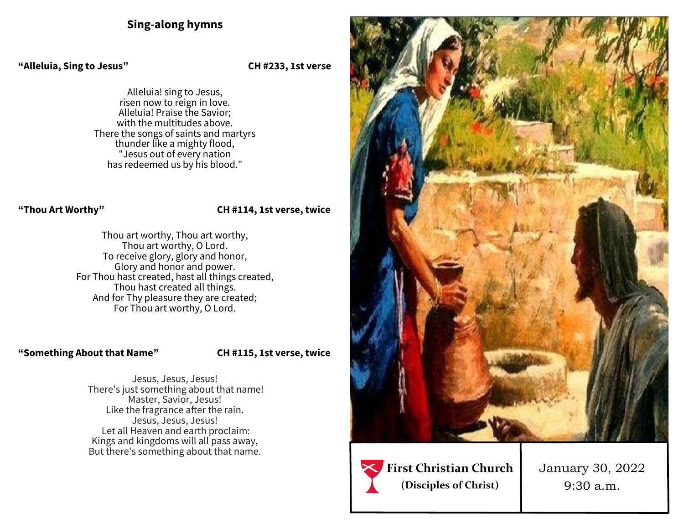## **Sing-along hymns**

#### **"Alleluia, Sing to Jesus" CH #233, 1st verse**

Alleluia! sing to Jesus, risen now to reign in love. Alleluia! Praise the Savior; with the multitudes above. There the songs of saints and martyrs thunder like a mighty flood, "Jesus out of every nation has redeemed us by his blood."

#### **"Thou Art Worthy" CH #114, 1st verse, twice**

Thou art worthy, Thou art worthy, Thou art worthy, O Lord. To receive glory, glory and honor, Glory and honor and power. For Thou hast created, hast all things created, Thou hast created all things. And for Thy pleasure they are created; For Thou art worthy, O Lord.

### **"Something About that Name" CH #115, 1st verse, twice**

Jesus, Jesus, Jesus! There's just something about that name! Master, Savior, Jesus! Like the fragrance after the rain. Jesus, Jesus, Jesus! Let all Heaven and earth proclaim: Kings and kingdoms will all pass away, But there's something about that name.





January 30, 2022 9:30 a.m.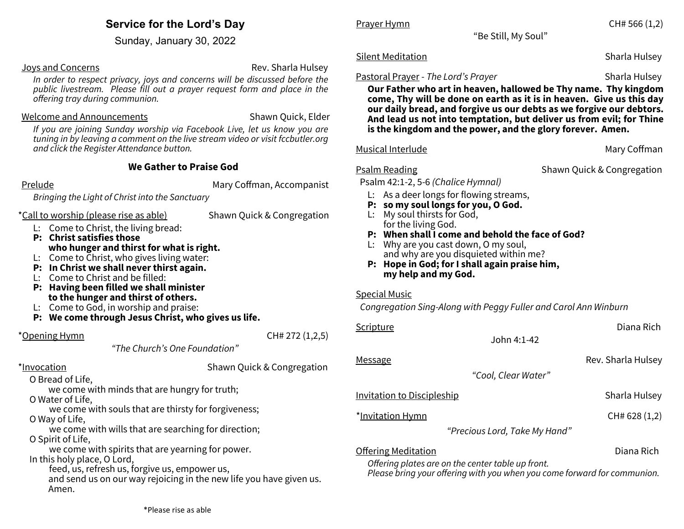## **Service for the Lord's Day**

Sunday, January 30, 2022

#### Joys and Concerns **Rev.** Sharla Hulsey

*In order to respect privacy, joys and concerns will be discussed before the public livestream. Please fill out a prayer request form and place in the offering tray during communion.* 

#### Welcome and Announcements The Shawn Quick, Elder

*If you are joining Sunday worship via Facebook Live, let us know you are tuning in by leaving a comment on the live stream video or visit fccbutler.org and click the Register Attendance button.*

### **We Gather to Praise God**

Prelude **Mary Coffman, Accompanist** Mary Coffman, Accompanist

*Bringing the Light of Christ into the Sanctuary*

\*Call to worship (please rise as able) Shawn Quick & Congregation

L: Come to Christ, the living bread:

- **P: Christ satisfies those who hunger and thirst for what is right.**
- L: Come to Christ, who gives living water:
- **P: In Christ we shall never thirst again.**
- L: Come to Christ and be filled:
- **P: Having been filled we shall minister to the hunger and thirst of others.**
- L: Come to God, in worship and praise:
- **P: We come through Jesus Christ, who gives us life.**

 $*$ Opening Hymn  $CH# 272 (1,2,5)$ 

*"The Church's One Foundation"*

\*Invocation **Shawn Quick & Congregation** 

O Bread of Life,

we come with minds that are hungry for truth;

O Water of Life,

we come with souls that are thirsty for forgiveness;

O Way of Life,

 we come with wills that are searching for direction; O Spirit of Life,

we come with spirits that are yearning for power.

In this holy place, O Lord,

 feed, us, refresh us, forgive us, empower us, and send us on our way rejoicing in the new life you have given us. Amen.

Prayer Hymn **CH#** 566 (1,2)

"Be Still, My Soul"

## Silent Meditation Sharla Hulsey **Sharla Hulsey**

## Pastoral Prayer - *The Lord's Prayer* Sharla Hulsey

**Our Father who art in heaven, hallowed be Thy name. Thy kingdom come, Thy will be done on earth as it is in heaven. Give us this day our daily bread, and forgive us our debts as we forgive our debtors. And lead us not into temptation, but deliver us from evil; for Thine is the kingdom and the power, and the glory forever. Amen.**

### Musical Interlude **Mary Coffman**

Psalm Reading The Shawn Quick & Congregation

Psalm 42:1-2, 5-6 *(Chalice Hymnal)*

- L: As a deer longs for flowing streams,
- **P: so my soul longs for you, O God.**
- L: My soul thirsts for God, for the living God.
- **P: When shall I come and behold the face of God?**
- L: Why are you cast down, O my soul, and why are you disquieted within me?
- **P: Hope in God; for I shall again praise him, my help and my God.**

### Special Music

*Congregation Sing-Along with Peggy Fuller and Carol Ann Winburn*

| <u>Scripture</u>                   |                               | Diana Rich         |
|------------------------------------|-------------------------------|--------------------|
|                                    | John 4:1-42                   |                    |
| <u>Message</u>                     |                               | Rev. Sharla Hulsey |
|                                    | "Cool, Clear Water"           |                    |
| <u> Invitation to Discipleship</u> |                               | Sharla Hulsey      |
| *Invitation Hymn                   |                               | CH# 628 (1,2)      |
|                                    | "Precious Lord, Take My Hand" |                    |

**Offering Meditation Community Community Community Community Community Community Community Community Community** Diana Rich

*Offering plates are on the center table up front.*

*Please bring your offering with you when you come forward for communion.*